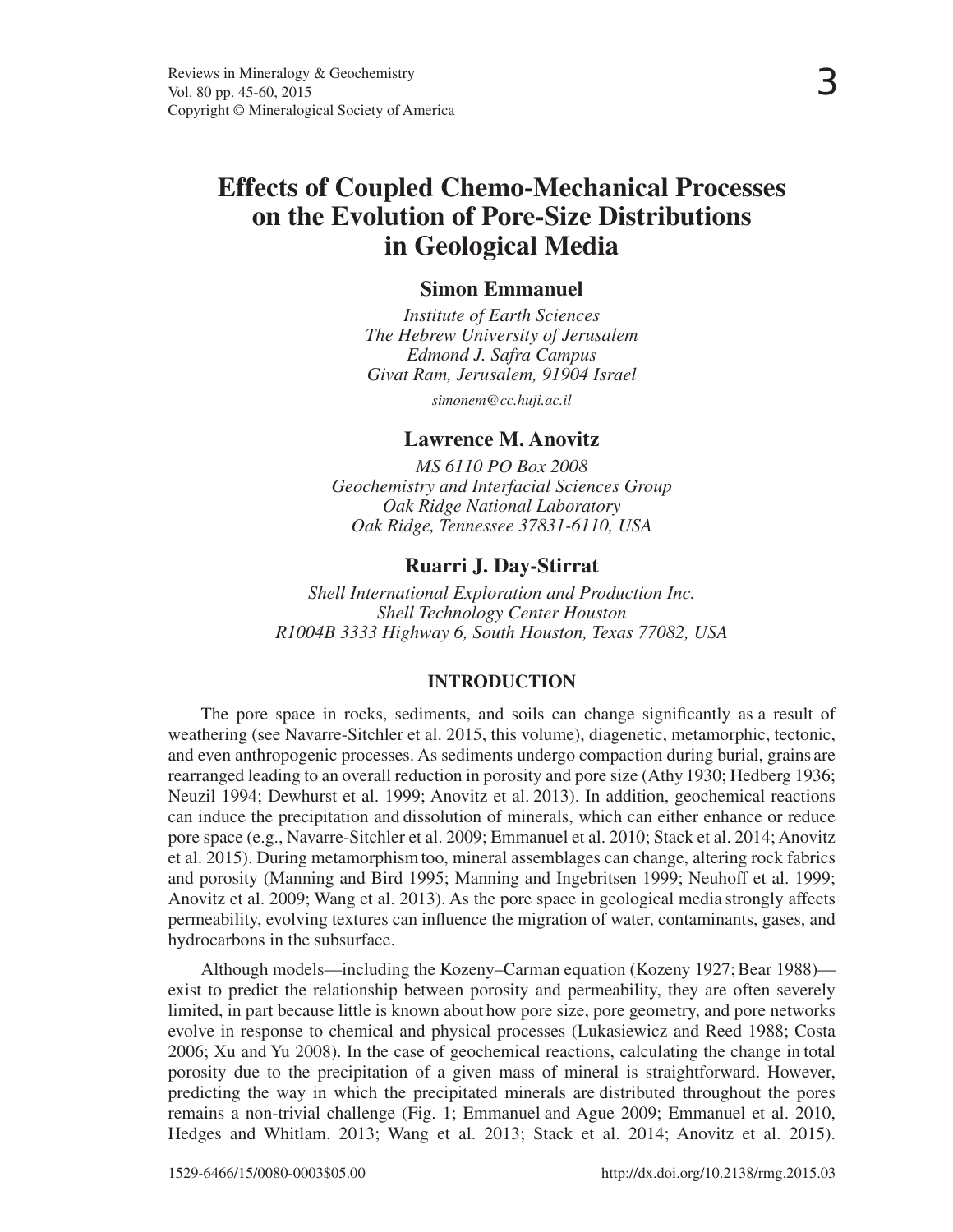# **Effects of Coupled Chemo-Mechanical Processes on the Evolution of Pore-Size Distributions in Geological Media**

# **Simon Emmanuel**

*Institute of Earth Sciences The Hebrew University of Jerusalem Edmond J. Safra Campus Givat Ram, Jerusalem, 91904 Israel*

*simonem@cc.huji.ac.il*

# **Lawrence M. Anovitz**

*MS 6110 PO Box 2008 Geochemistry and Interfacial Sciences Group Oak Ridge National Laboratory Oak Ridge, Tennessee 37831-6110, USA*

# **Ruarri J. Day-Stirrat**

*Shell International Exploration and Production Inc. Shell Technology Center Houston R1004B 3333 Highway 6, South Houston, Texas 77082, USA*

# **INTRODUCTION**

The pore space in rocks, sediments, and soils can change significantly as a result of weathering (see Navarre-Sitchler et al. 2015, this volume), diagenetic, metamorphic, tectonic, and even anthropogenic processes. As sediments undergo compaction during burial, grains are rearranged leading to an overall reduction in porosity and pore size (Athy 1930; Hedberg 1936; Neuzil 1994; Dewhurst et al. 1999; Anovitz et al. 2013). In addition, geochemical reactions can induce the precipitation and dissolution of minerals, which can either enhance or reduce pore space (e.g., Navarre-Sitchler et al. 2009; Emmanuel et al. 2010; Stack et al. 2014; Anovitz et al. 2015). During metamorphismtoo, mineral assemblages can change, altering rock fabrics and porosity (Manning and Bird 1995; Manning and Ingebritsen 1999; Neuhoff et al. 1999; Anovitz et al. 2009; Wang et al. 2013). As the pore space in geological media strongly affects permeability, evolving textures can influence the migration of water, contaminants, gases, and hydrocarbons in the subsurface.

Although models—including the Kozeny–Carman equation (Kozeny 1927; Bear 1988) exist to predict the relationship between porosity and permeability, they are often severely limited, in part because little is known about how pore size, pore geometry, and pore networks evolve in response to chemical and physical processes (Lukasiewicz and Reed 1988; Costa 2006; Xu and Yu 2008). In the case of geochemical reactions, calculating the change in total porosity due to the precipitation of a given mass of mineral is straightforward. However, predicting the way in which the precipitated minerals are distributed throughout the pores remains a non-trivial challenge (Fig. 1; Emmanuel and Ague 2009; Emmanuel et al. 2010, Hedges and Whitlam. 2013; Wang et al. 2013; Stack et al. 2014; Anovitz et al. 2015).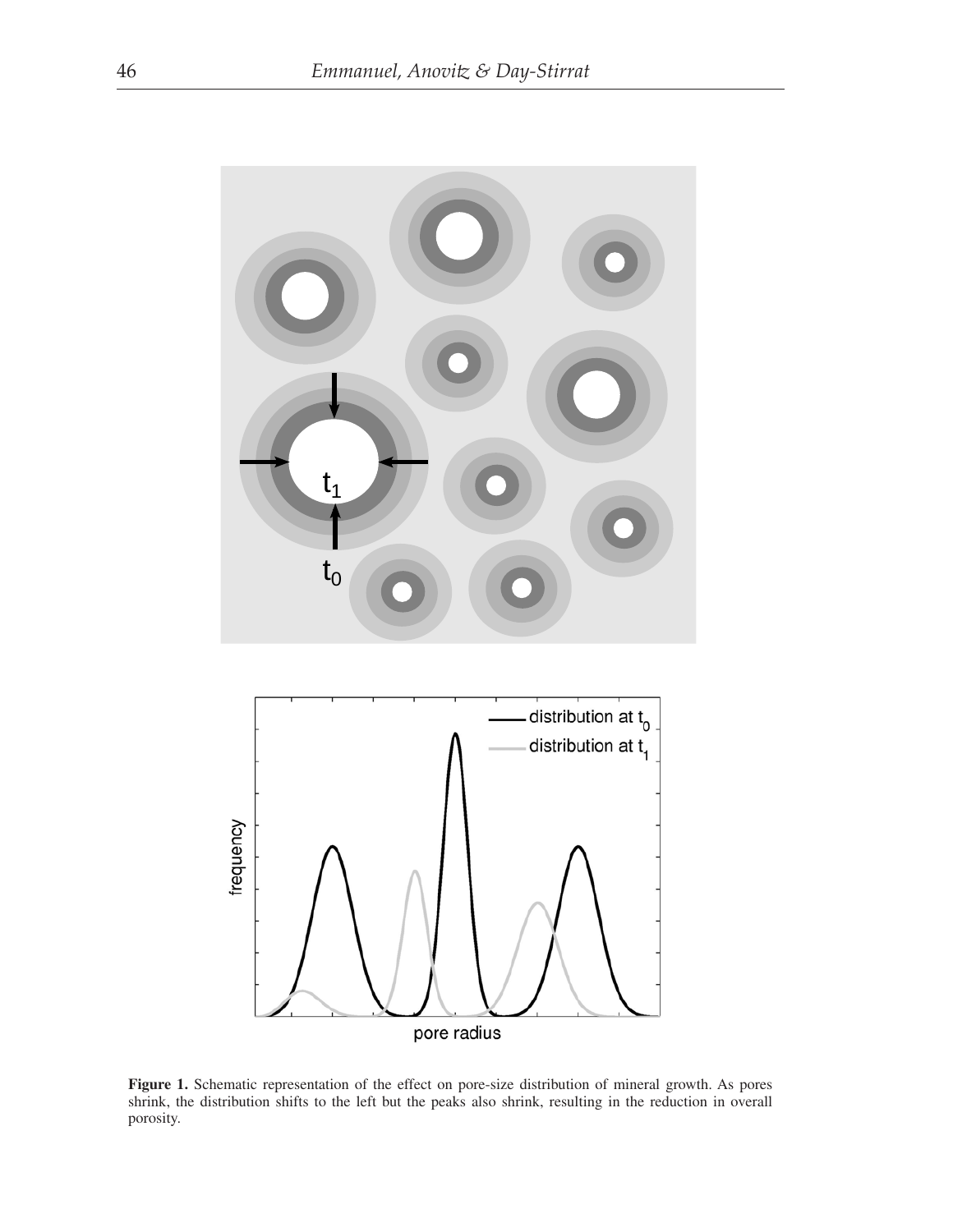

**Figure 1.** Schematic representation of the effect on pore-size distribution of mineral growth. As pores shrink, the distribution shifts to the left but the peaks also shrink, resulting in the reduction in overall porosity.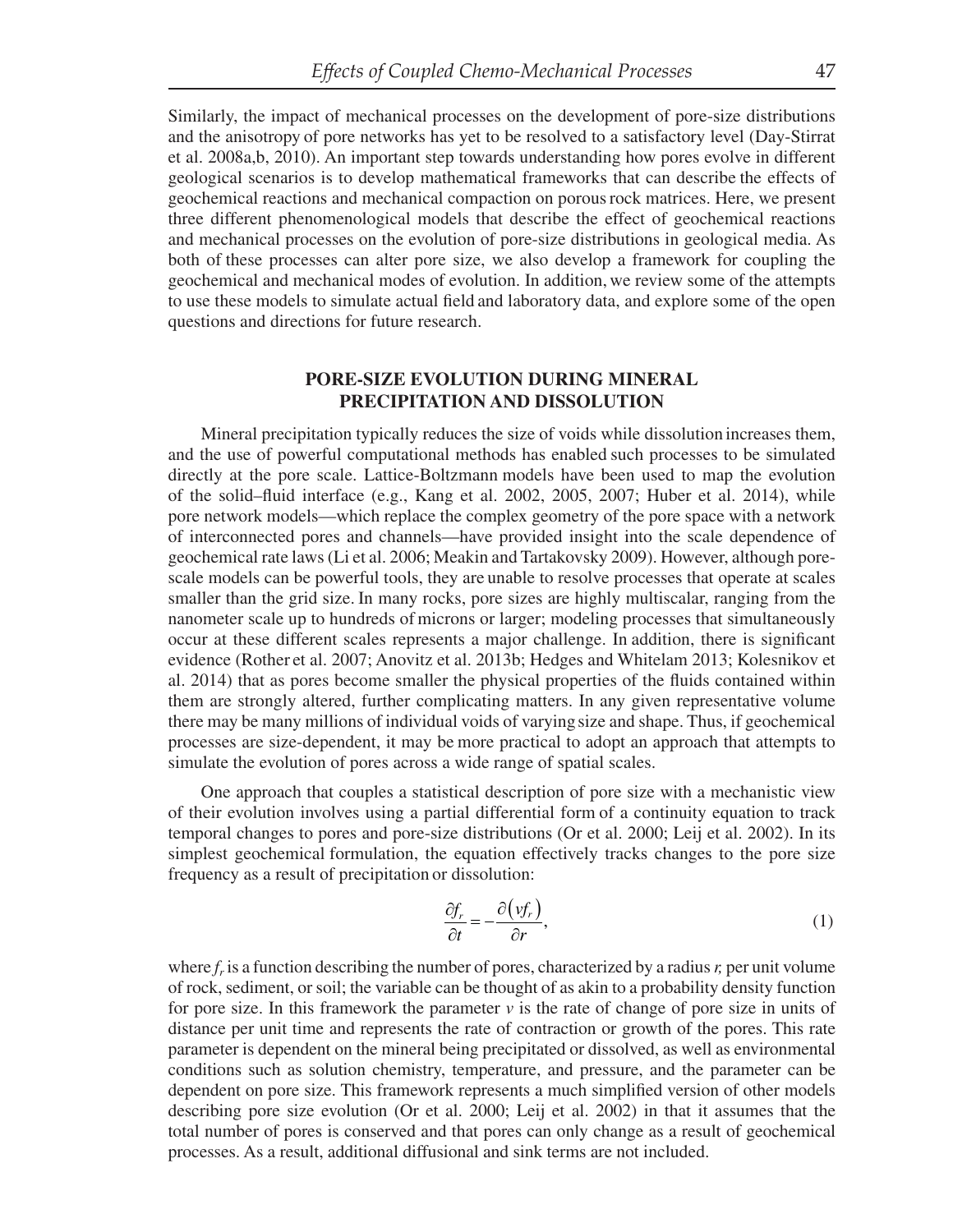Similarly, the impact of mechanical processes on the development of pore-size distributions and the anisotropy of pore networks has yet to be resolved to a satisfactory level (Day-Stirrat et al. 2008a,b, 2010). An important step towards understanding how pores evolve in different geological scenarios is to develop mathematical frameworks that can describe the effects of geochemical reactions and mechanical compaction on porousrock matrices. Here, we present three different phenomenological models that describe the effect of geochemical reactions and mechanical processes on the evolution of pore-size distributions in geological media. As both of these processes can alter pore size, we also develop a framework for coupling the geochemical and mechanical modes of evolution. In addition, we review some of the attempts to use these models to simulate actual field and laboratory data, and explore some of the open questions and directions for future research.

## **PORE-SIZE EVOLUTION DURING MINERAL PRECIPITATION AND DISSOLUTION**

Mineral precipitation typically reduces the size of voids while dissolution increases them, and the use of powerful computational methods has enabled such processes to be simulated directly at the pore scale. Lattice-Boltzmann models have been used to map the evolution of the solid–fluid interface (e.g., Kang et al. 2002, 2005, 2007; Huber et al. 2014), while pore network models—which replace the complex geometry of the pore space with a network of interconnected pores and channels—have provided insight into the scale dependence of geochemical rate laws (Li et al. 2006; Meakin and Tartakovsky 2009). However, although porescale models can be powerful tools, they are unable to resolve processes that operate at scales smaller than the grid size. In many rocks, pore sizes are highly multiscalar, ranging from the nanometer scale up to hundreds of microns or larger; modeling processes that simultaneously occur at these different scales represents a major challenge. In addition, there is significant evidence (Rother et al. 2007; Anovitz et al. 2013b; Hedges and Whitelam 2013; Kolesnikov et al. 2014) that as pores become smaller the physical properties of the fluids contained within them are strongly altered, further complicating matters. In any given representative volume there may be many millions of individual voids of varying size and shape. Thus, if geochemical processes are size-dependent, it may be more practical to adopt an approach that attempts to simulate the evolution of pores across a wide range of spatial scales.

One approach that couples a statistical description of pore size with a mechanistic view of their evolution involves using a partial differential form of a continuity equation to track temporal changes to pores and pore-size distributions (Or et al. 2000; Leij et al. 2002). In its simplest geochemical formulation, the equation effectively tracks changes to the pore size frequency as a result of precipitation or dissolution:

$$
\frac{\partial f_r}{\partial t} = -\frac{\partial (vf_r)}{\partial r},\tag{1}
$$

where  $f_r$  is a function describing the number of pores, characterized by a radius  $r$ , per unit volume of rock, sediment, or soil; the variable can be thought of as akin to a probability density function for pore size. In this framework the parameter  $\nu$  is the rate of change of pore size in units of distance per unit time and represents the rate of contraction or growth of the pores. This rate parameter is dependent on the mineral being precipitated or dissolved, as well as environmental conditions such as solution chemistry, temperature, and pressure, and the parameter can be dependent on pore size. This framework represents a much simplified version of other models describing pore size evolution (Or et al. 2000; Leij et al. 2002) in that it assumes that the total number of pores is conserved and that pores can only change as a result of geochemical processes. As a result, additional diffusional and sink terms are not included.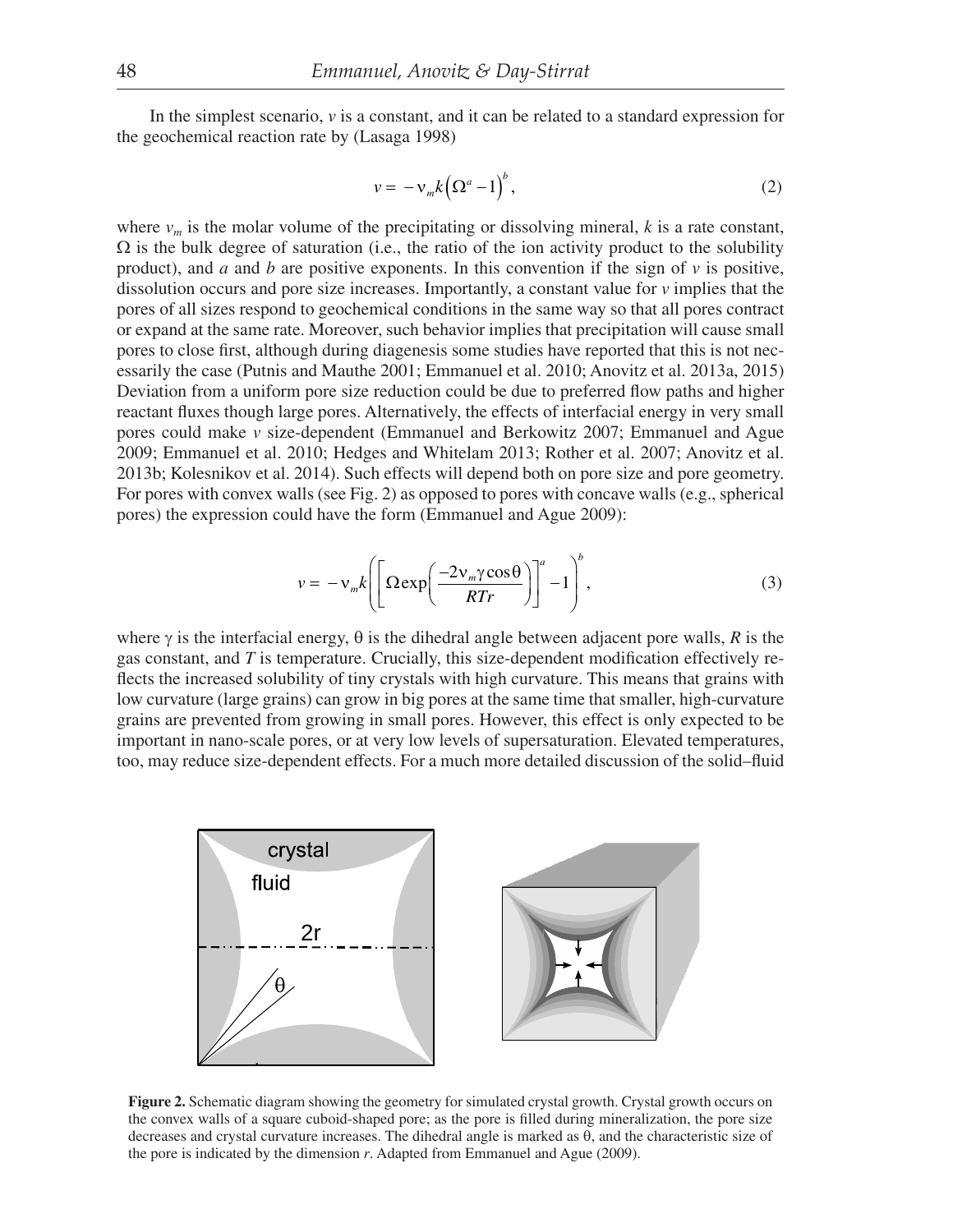In the simplest scenario, *v* is a constant, and it can be related to a standard expression for the geochemical reaction rate by (Lasaga 1998)

$$
v = -v_m k \left( \Omega^a - 1 \right)^b, \tag{2}
$$

where  $v_m$  is the molar volume of the precipitating or dissolving mineral,  $k$  is a rate constant,  $\Omega$  is the bulk degree of saturation (i.e., the ratio of the ion activity product to the solubility product), and *a* and *b* are positive exponents. In this convention if the sign of  $\nu$  is positive, dissolution occurs and pore size increases. Importantly, a constant value for *v* implies that the pores of all sizes respond to geochemical conditions in the same way so that all pores contract or expand at the same rate. Moreover, such behavior implies that precipitation will cause small pores to close first, although during diagenesis some studies have reported that this is not necessarily the case (Putnis and Mauthe 2001; Emmanuel et al. 2010; Anovitz et al. 2013a, 2015) Deviation from a uniform pore size reduction could be due to preferred flow paths and higher reactant fluxes though large pores. Alternatively, the effects of interfacial energy in very small pores could make *v* size-dependent (Emmanuel and Berkowitz 2007; Emmanuel and Ague 2009; Emmanuel et al. 2010; Hedges and Whitelam 2013; Rother et al. 2007; Anovitz et al. 2013b; Kolesnikov et al. 2014). Such effects will depend both on pore size and pore geometry. For pores with convex walls (see Fig. 2) as opposed to pores with concave walls (e.g., spherical pores) the expression could have the form (Emmanuel and Ague 2009):

$$
v = -v_m k \left( \left[ \Omega \exp \left( \frac{-2v_m \gamma \cos \theta}{RTr} \right) \right]^{a} - 1 \right)^{b}, \tag{3}
$$

where  $\gamma$  is the interfacial energy,  $\theta$  is the dihedral angle between adjacent pore walls, *R* is the gas constant, and *T* is temperature. Crucially, this size-dependent modification effectively reflects the increased solubility of tiny crystals with high curvature. This means that grains with low curvature (large grains) can grow in big pores at the same time that smaller, high-curvature grains are prevented from growing in small pores. However, this effect is only expected to be important in nano-scale pores, or at very low levels of supersaturation. Elevated temperatures, too, may reduce size-dependent effects. For a much more detailed discussion of the solid–fluid



**Figure 2.** Schematic diagram showing the geometry for simulated crystal growth. Crystal growth occurs on the convex walls of a square cuboid-shaped pore; as the pore is filled during mineralization, the pore size decreases and crystal curvature increases. The dihedral angle is marked as  $\theta$ , and the characteristic size of the pore is indicated by the dimension *r*. Adapted from Emmanuel and Ague (2009).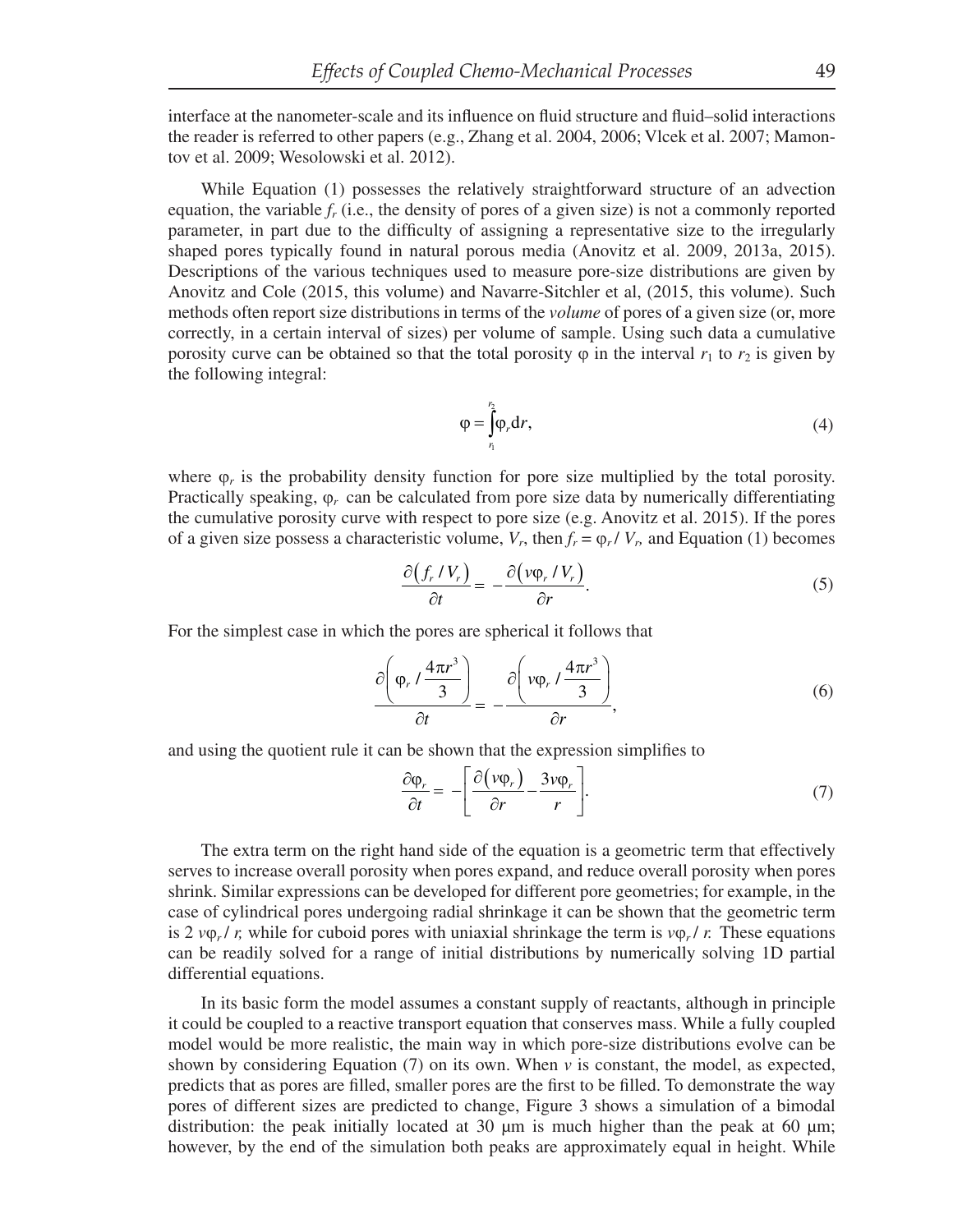interface at the nanometer-scale and its influence on fluid structure and fluid–solid interactions the reader is referred to other papers (e.g., Zhang et al. 2004, 2006; Vlcek et al. 2007; Mamontov et al. 2009; Wesolowski et al. 2012).

While Equation (1) possesses the relatively straightforward structure of an advection equation, the variable *fr* (i.e., the density of pores of a given size) is not a commonly reported parameter, in part due to the difficulty of assigning a representative size to the irregularly shaped pores typically found in natural porous media (Anovitz et al. 2009, 2013a, 2015). Descriptions of the various techniques used to measure pore-size distributions are given by Anovitz and Cole (2015, this volume) and Navarre-Sitchler et al, (2015, this volume). Such methods often report size distributions in terms of the *volume* of pores of a given size (or, more correctly, in a certain interval of sizes) per volume of sample. Using such data a cumulative porosity curve can be obtained so that the total porosity  $\varphi$  in the interval  $r_1$  to  $r_2$  is given by the following integral:

$$
\varphi = \int_{r_1}^{r_2} \varphi_r \, \mathrm{d}r,\tag{4}
$$

where  $\varphi_r$  is the probability density function for pore size multiplied by the total porosity. Practically speaking,  $\varphi_r$  can be calculated from pore size data by numerically differentiating the cumulative porosity curve with respect to pore size (e.g. Anovitz et al. 2015). If the pores of a given size possess a characteristic volume,  $V_r$ , then  $f_r = \varphi_r / V_r$ , and Equation (1) becomes

$$
\frac{\partial (f_r/V_r)}{\partial t} = -\frac{\partial (\nu \varphi_r/V_r)}{\partial r}.
$$
\n(5)

For the simplest case in which the pores are spherical it follows that

$$
\frac{\partial \left(\varphi_r \, / \, \frac{4\pi r^3}{3}\right)}{\partial t} = -\frac{\partial \left(\nu \varphi_r \, / \, \frac{4\pi r^3}{3}\right)}{\partial r},\tag{6}
$$

and using the quotient rule it can be shown that the expression simplifies to

$$
\frac{\partial \varphi_r}{\partial t} = -\left[ \frac{\partial (\nu \varphi_r)}{\partial r} - \frac{3\nu \varphi_r}{r} \right].
$$
\n(7)

The extra term on the right hand side of the equation is a geometric term that effectively serves to increase overall porosity when pores expand, and reduce overall porosity when pores shrink. Similar expressions can be developed for different pore geometries; for example, in the case of cylindrical pores undergoing radial shrinkage it can be shown that the geometric term is 2  $v\varphi_r/\eta$ , while for cuboid pores with uniaxial shrinkage the term is  $v\varphi_r/\eta$ . These equations can be readily solved for a range of initial distributions by numerically solving 1D partial differential equations.

In its basic form the model assumes a constant supply of reactants, although in principle it could be coupled to a reactive transport equation that conserves mass. While a fully coupled model would be more realistic, the main way in which pore-size distributions evolve can be shown by considering Equation  $(7)$  on its own. When  $\nu$  is constant, the model, as expected, predicts that as pores are filled, smaller pores are the first to be filled. To demonstrate the way pores of different sizes are predicted to change, Figure 3 shows a simulation of a bimodal distribution: the peak initially located at 30  $\mu$ m is much higher than the peak at 60  $\mu$ m; however, by the end of the simulation both peaks are approximately equal in height. While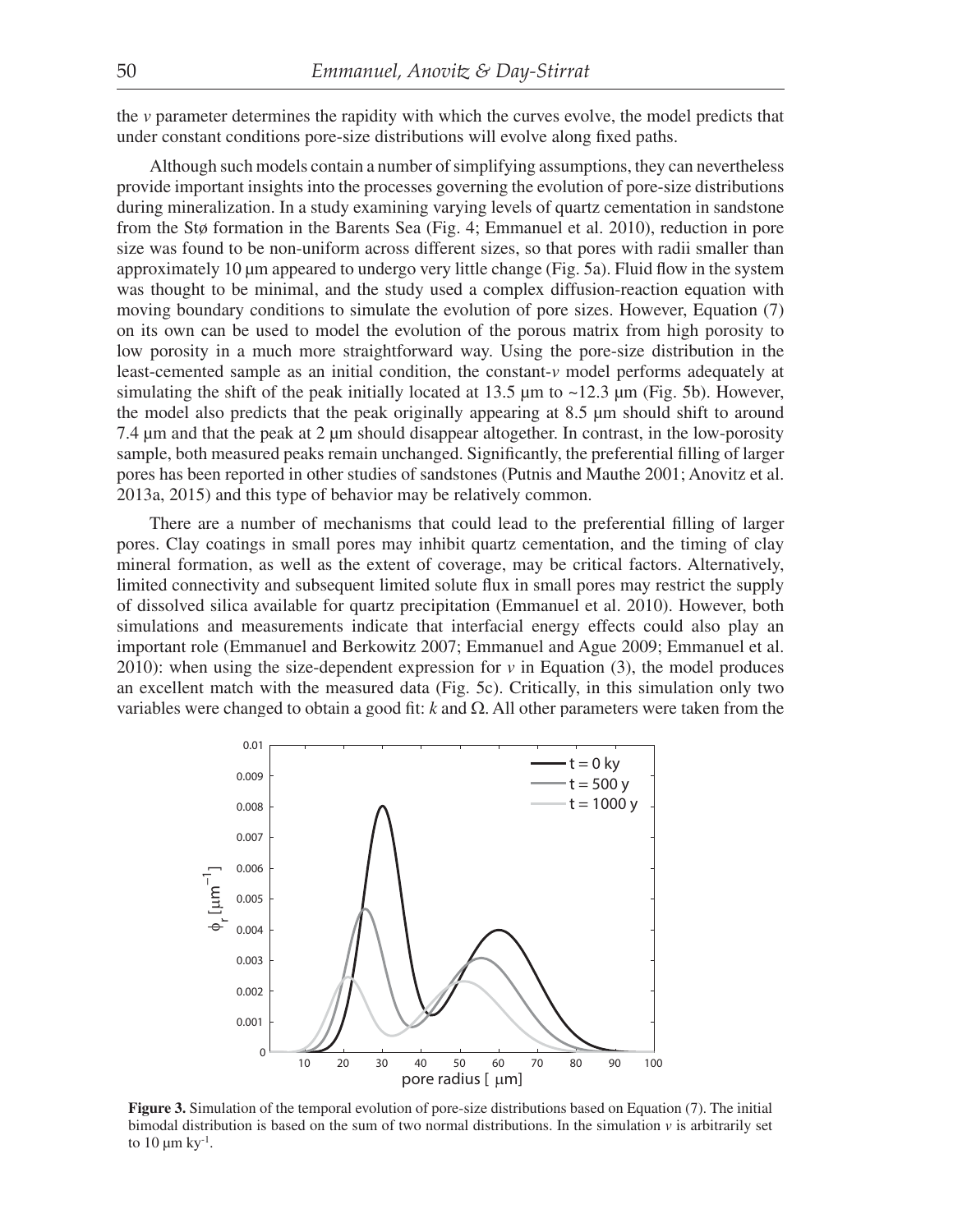the *v* parameter determines the rapidity with which the curves evolve, the model predicts that under constant conditions pore-size distributions will evolve along fixed paths.

Although such models contain a number of simplifying assumptions, they can nevertheless provide important insights into the processes governing the evolution of pore-size distributions during mineralization. In a study examining varying levels of quartz cementation in sandstone from the Stø formation in the Barents Sea (Fig. 4; Emmanuel et al. 2010), reduction in pore size was found to be non-uniform across different sizes, so that pores with radii smaller than approximately 10  $\mu$ m appeared to undergo very little change (Fig. 5a). Fluid flow in the system was thought to be minimal, and the study used a complex diffusion-reaction equation with moving boundary conditions to simulate the evolution of pore sizes. However, Equation (7) on its own can be used to model the evolution of the porous matrix from high porosity to low porosity in a much more straightforward way. Using the pore-size distribution in the least-cemented sample as an initial condition, the constant-*v* model performs adequately at simulating the shift of the peak initially located at 13.5  $\mu$ m to ~12.3  $\mu$ m (Fig. 5b). However, the model also predicts that the peak originally appearing at 8.5 μm should shift to around 7.4 μm and that the peak at 2 μm should disappear altogether. In contrast, in the low-porosity sample, both measured peaks remain unchanged. Significantly, the preferential filling of larger pores has been reported in other studies of sandstones (Putnis and Mauthe 2001; Anovitz et al. 2013a, 2015) and this type of behavior may be relatively common.

There are a number of mechanisms that could lead to the preferential filling of larger pores. Clay coatings in small pores may inhibit quartz cementation, and the timing of clay mineral formation, as well as the extent of coverage, may be critical factors. Alternatively, limited connectivity and subsequent limited solute flux in small pores may restrict the supply of dissolved silica available for quartz precipitation (Emmanuel et al. 2010). However, both simulations and measurements indicate that interfacial energy effects could also play an important role (Emmanuel and Berkowitz 2007; Emmanuel and Ague 2009; Emmanuel et al. 2010): when using the size-dependent expression for  $v$  in Equation (3), the model produces an excellent match with the measured data (Fig. 5c). Critically, in this simulation only two variables were changed to obtain a good fit:  $k$  and  $\Omega$ . All other parameters were taken from the



**Figure 3.** Simulation of the temporal evolution of pore-size distributions based on Equation (7). The initial bimodal distribution is based on the sum of two normal distributions. In the simulation  $\nu$  is arbitrarily set to  $10 \mu m k y^{-1}$ .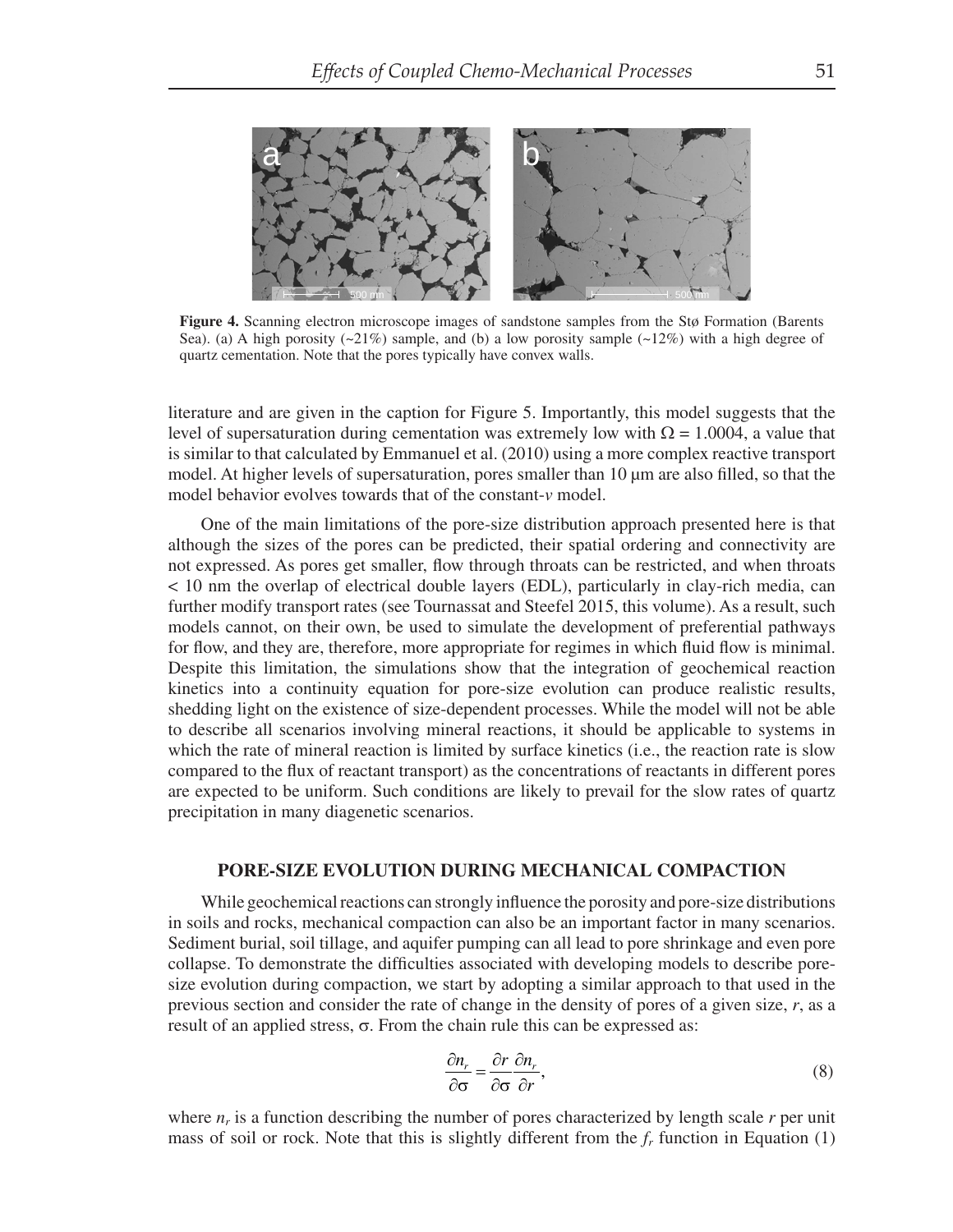

**Figure 4.** Scanning electron microscope images of sandstone samples from the Stø Formation (Barents Sea). (a) A high porosity  $\langle -21\% \rangle$  sample, and (b) a low porosity sample  $\langle -12\% \rangle$  with a high degree of quartz cementation. Note that the pores typically have convex walls.

literature and are given in the caption for Figure 5. Importantly, this model suggests that the level of supersaturation during cementation was extremely low with  $\Omega = 1.0004$ , a value that is similar to that calculated by Emmanuel et al. (2010) using a more complex reactive transport model. At higher levels of supersaturation, pores smaller than  $10 \mu m$  are also filled, so that the model behavior evolves towards that of the constant-*v* model.

One of the main limitations of the pore-size distribution approach presented here is that although the sizes of the pores can be predicted, their spatial ordering and connectivity are not expressed. As pores get smaller, flow through throats can be restricted, and when throats < 10 nm the overlap of electrical double layers (EDL), particularly in clay-rich media, can further modify transport rates (see Tournassat and Steefel 2015, this volume). As a result, such models cannot, on their own, be used to simulate the development of preferential pathways for flow, and they are, therefore, more appropriate for regimes in which fluid flow is minimal. Despite this limitation, the simulations show that the integration of geochemical reaction kinetics into a continuity equation for pore-size evolution can produce realistic results, shedding light on the existence of size-dependent processes. While the model will not be able to describe all scenarios involving mineral reactions, it should be applicable to systems in which the rate of mineral reaction is limited by surface kinetics (i.e., the reaction rate is slow compared to the flux of reactant transport) as the concentrations of reactants in different pores are expected to be uniform. Such conditions are likely to prevail for the slow rates of quartz precipitation in many diagenetic scenarios.

#### **PORE-SIZE EVOLUTION DURING MECHANICAL COMPACTION**

While geochemical reactions can strongly influence the porosity and pore-size distributions in soils and rocks, mechanical compaction can also be an important factor in many scenarios. Sediment burial, soil tillage, and aquifer pumping can all lead to pore shrinkage and even pore collapse. To demonstrate the difficulties associated with developing models to describe poresize evolution during compaction, we start by adopting a similar approach to that used in the previous section and consider the rate of change in the density of pores of a given size, *r*, as a result of an applied stress,  $\sigma$ . From the chain rule this can be expressed as:

$$
\frac{\partial n_r}{\partial \sigma} = \frac{\partial r}{\partial \sigma} \frac{\partial n_r}{\partial r},\tag{8}
$$

where  $n_r$  is a function describing the number of pores characterized by length scale  $r$  per unit mass of soil or rock. Note that this is slightly different from the  $f<sub>r</sub>$  function in Equation (1)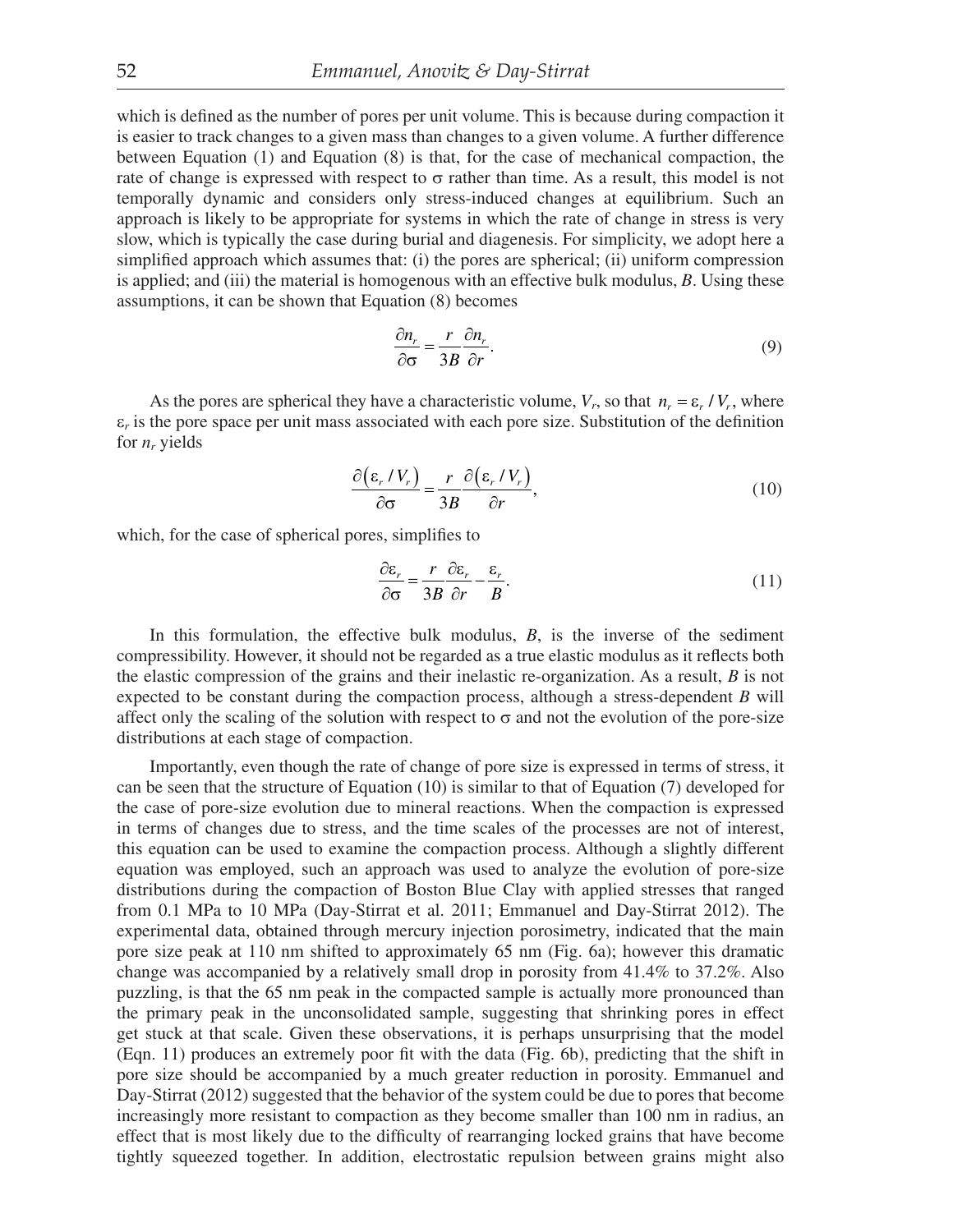which is defined as the number of pores per unit volume. This is because during compaction it is easier to track changes to a given mass than changes to a given volume. A further difference between Equation (1) and Equation (8) is that, for the case of mechanical compaction, the rate of change is expressed with respect to  $\sigma$  rather than time. As a result, this model is not temporally dynamic and considers only stress-induced changes at equilibrium. Such an approach is likely to be appropriate for systems in which the rate of change in stress is very slow, which is typically the case during burial and diagenesis. For simplicity, we adopt here a simplified approach which assumes that: (i) the pores are spherical; (ii) uniform compression is applied; and (iii) the material is homogenous with an effective bulk modulus, *B*. Using these assumptions, it can be shown that Equation (8) becomes

$$
\frac{\partial n_r}{\partial \sigma} = \frac{r}{3B} \frac{\partial n_r}{\partial r}.
$$
\n(9)

As the pores are spherical they have a characteristic volume,  $V_r$ , so that  $n_r = \varepsilon_r / V_r$ , where  $\epsilon_r$  is the pore space per unit mass associated with each pore size. Substitution of the definition for  $n_r$  yields

$$
\frac{\partial (\varepsilon_r / V_r)}{\partial \sigma} = \frac{r}{3B} \frac{\partial (\varepsilon_r / V_r)}{\partial r},
$$
\n(10)

which, for the case of spherical pores, simplifies to

$$
\frac{\partial \varepsilon_r}{\partial \sigma} = \frac{r}{3B} \frac{\partial \varepsilon_r}{\partial r} - \frac{\varepsilon_r}{B}.
$$
\n(11)

In this formulation, the effective bulk modulus, *B*, is the inverse of the sediment compressibility. However, it should not be regarded as a true elastic modulus as it reflects both the elastic compression of the grains and their inelastic re-organization. As a result, *B* is not expected to be constant during the compaction process, although a stress-dependent *B* will affect only the scaling of the solution with respect to  $\sigma$  and not the evolution of the pore-size distributions at each stage of compaction.

Importantly, even though the rate of change of pore size is expressed in terms of stress, it can be seen that the structure of Equation (10) is similar to that of Equation (7) developed for the case of pore-size evolution due to mineral reactions. When the compaction is expressed in terms of changes due to stress, and the time scales of the processes are not of interest, this equation can be used to examine the compaction process. Although a slightly different equation was employed, such an approach was used to analyze the evolution of pore-size distributions during the compaction of Boston Blue Clay with applied stresses that ranged from 0.1 MPa to 10 MPa (Day-Stirrat et al. 2011; Emmanuel and Day-Stirrat 2012). The experimental data, obtained through mercury injection porosimetry, indicated that the main pore size peak at 110 nm shifted to approximately 65 nm (Fig. 6a); however this dramatic change was accompanied by a relatively small drop in porosity from 41.4% to 37.2%. Also puzzling, is that the 65 nm peak in the compacted sample is actually more pronounced than the primary peak in the unconsolidated sample, suggesting that shrinking pores in effect get stuck at that scale. Given these observations, it is perhaps unsurprising that the model (Eqn. 11) produces an extremely poor fi t with the data (Fig. 6b), predicting that the shift in pore size should be accompanied by a much greater reduction in porosity. Emmanuel and Day-Stirrat (2012) suggested that the behavior of the system could be due to pores that become increasingly more resistant to compaction as they become smaller than 100 nm in radius, an effect that is most likely due to the difficulty of rearranging locked grains that have become tightly squeezed together. In addition, electrostatic repulsion between grains might also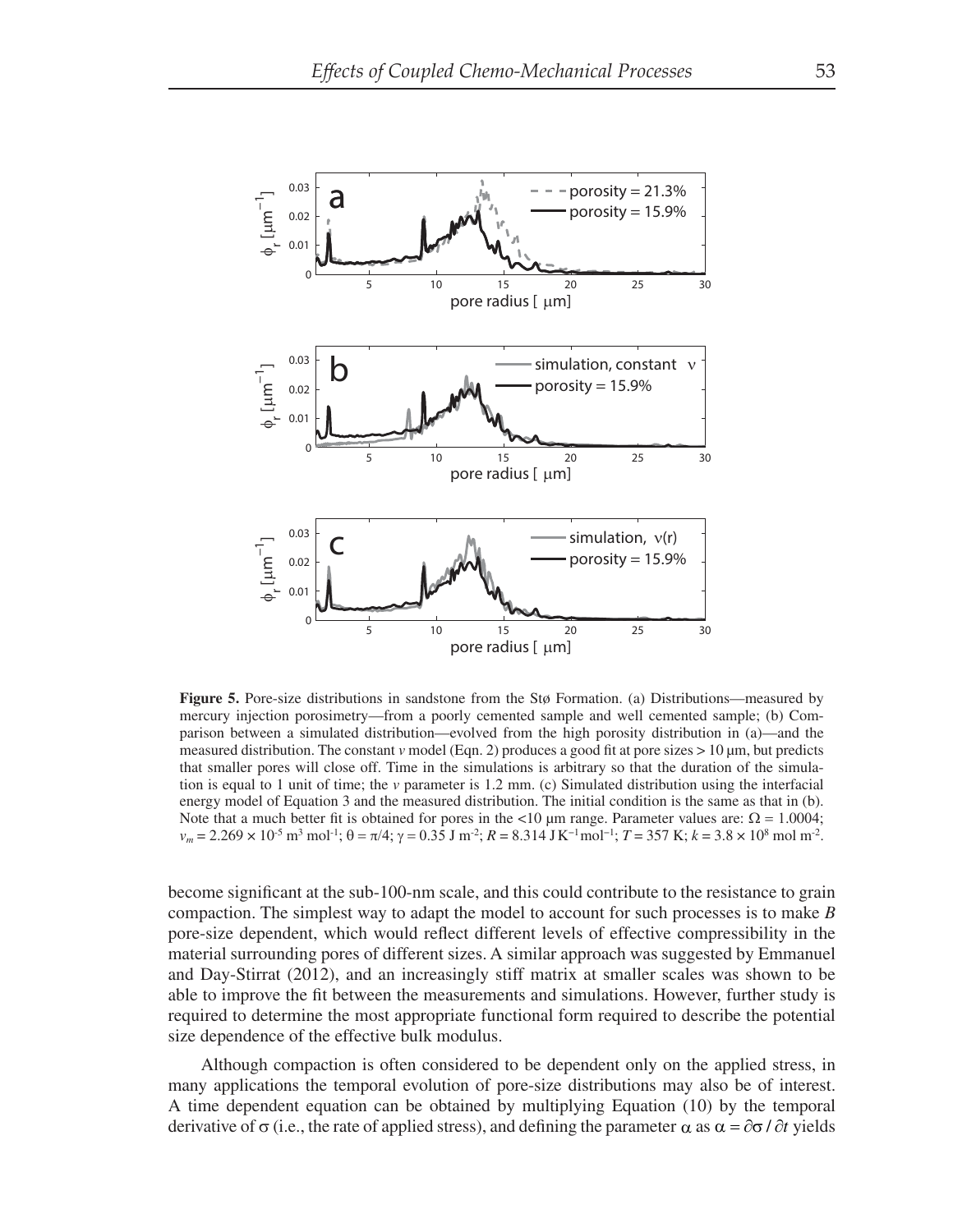

**Figure 5.** Pore-size distributions in sandstone from the Stø Formation. (a) Distributions—measured by mercury injection porosimetry—from a poorly cemented sample and well cemented sample; (b) Comparison between a simulated distribution—evolved from the high porosity distribution in (a)—and the measured distribution. The constant *v* model (Eqn. 2) produces a good fi t at pore sizes > 10 μm, but predicts that smaller pores will close off. Time in the simulations is arbitrary so that the duration of the simulation is equal to 1 unit of time; the *v* parameter is 1.2 mm. (c) Simulated distribution using the interfacial energy model of Equation 3 and the measured distribution. The initial condition is the same as that in (b). Note that a much better fit is obtained for pores in the <10 µm range. Parameter values are:  $\Omega = 1.0004$ ;  $v_m = 2.269 \times 10^{-5} \text{ m}^3 \text{ mol}^{-1}; \theta = \pi/4; \gamma = 0.35 \text{ J} \text{ m}^{-2}; R = 8.314 \text{ J} \text{K}^{-1} \text{mol}^{-1}; T = 357 \text{ K}; k = 3.8 \times 10^8 \text{ mol} \text{ m}^{-2}.$ 

become significant at the sub-100-nm scale, and this could contribute to the resistance to grain compaction. The simplest way to adapt the model to account for such processes is to make *B* pore-size dependent, which would reflect different levels of effective compressibility in the material surrounding pores of different sizes. A similar approach was suggested by Emmanuel and Day-Stirrat (2012), and an increasingly stiff matrix at smaller scales was shown to be able to improve the fit between the measurements and simulations. However, further study is required to determine the most appropriate functional form required to describe the potential size dependence of the effective bulk modulus.

Although compaction is often considered to be dependent only on the applied stress, in many applications the temporal evolution of pore-size distributions may also be of interest. A time dependent equation can be obtained by multiplying Equation (10) by the temporal derivative of  $\sigma$  (i.e., the rate of applied stress), and defining the parameter  $\alpha$  as  $\alpha = \partial \sigma / \partial t$  yields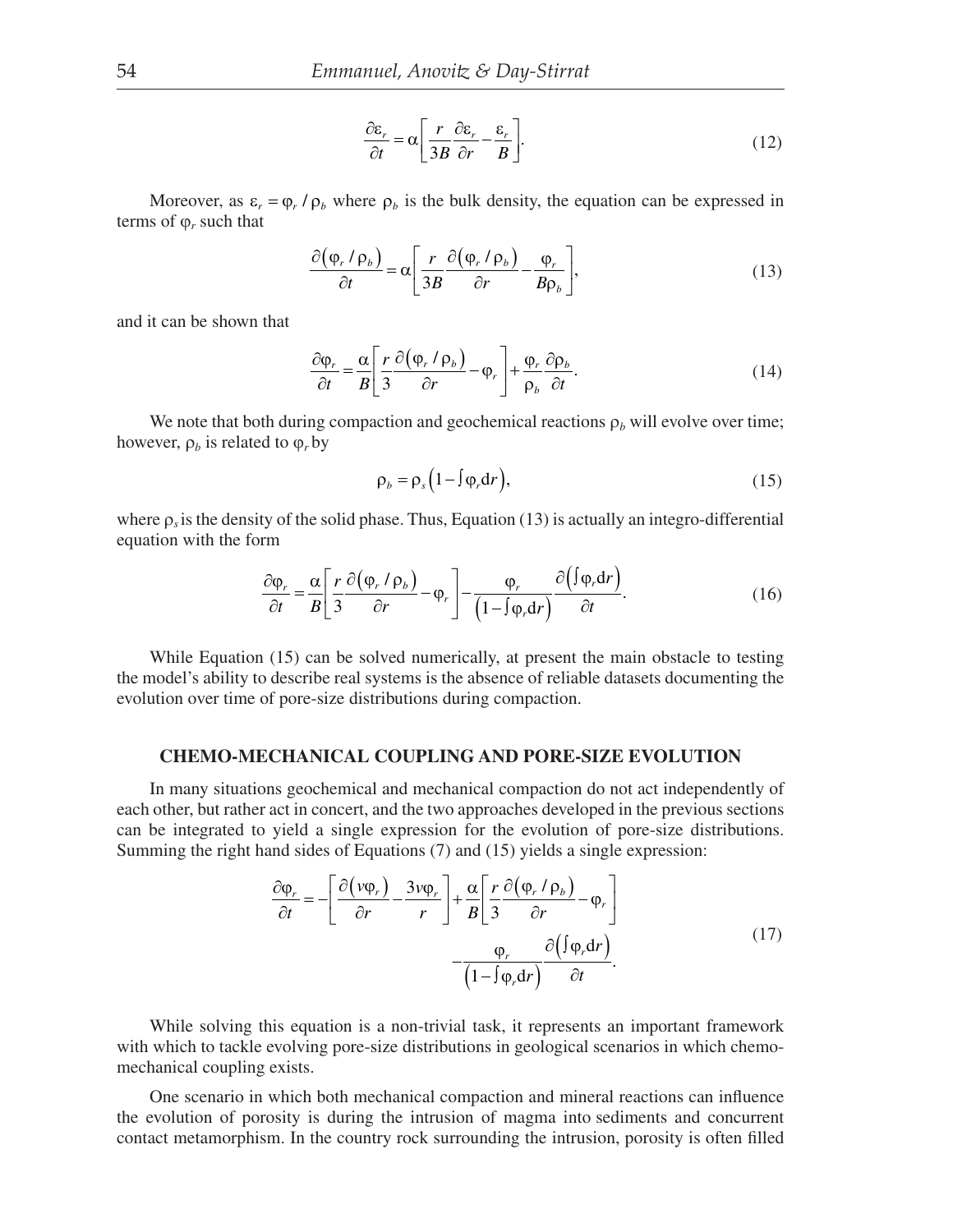$$
\frac{\partial \varepsilon_r}{\partial t} = \alpha \left[ \frac{r}{3B} \frac{\partial \varepsilon_r}{\partial r} - \frac{\varepsilon_r}{B} \right].
$$
 (12)

Moreover, as  $\epsilon_r = \varphi_r / \rho_b$  where  $\rho_b$  is the bulk density, the equation can be expressed in terms of  $\varphi_r$  such that

$$
\frac{\partial (\varphi_r / \varphi_b)}{\partial t} = \alpha \left[ \frac{r}{3B} \frac{\partial (\varphi_r / \varphi_b)}{\partial r} - \frac{\varphi_r}{B \varphi_b} \right],
$$
(13)

and it can be shown that

$$
\frac{\partial \varphi_r}{\partial t} = \frac{\alpha}{B} \left[ \frac{r}{3} \frac{\partial (\varphi_r / \rho_b)}{\partial r} - \varphi_r \right] + \frac{\varphi_r}{\rho_b} \frac{\partial \rho_b}{\partial t}.
$$
(14)

We note that both during compaction and geochemical reactions  $\rho_b$  will evolve over time; however,  $\rho_b$  is related to  $\varphi_r$  by

$$
\rho_b = \rho_s \left( 1 - \int \varphi_r \mathrm{d}r \right),\tag{15}
$$

where  $\rho_s$  is the density of the solid phase. Thus, Equation (13) is actually an integro-differential equation with the form

$$
\frac{\partial \varphi_r}{\partial t} = \frac{\alpha}{B} \left[ \frac{r}{3} \frac{\partial (\varphi_r / \varphi_b)}{\partial r} - \varphi_r \right] - \frac{\varphi_r}{\left(1 - \int \varphi_r dr\right)} \frac{\partial (\int \varphi_r dr)}{\partial t}.
$$
(16)

While Equation (15) can be solved numerically, at present the main obstacle to testing the model's ability to describe real systems is the absence of reliable datasets documenting the evolution over time of pore-size distributions during compaction.

#### **CHEMO-MECHANICAL COUPLING AND PORE-SIZE EVOLUTION**

In many situations geochemical and mechanical compaction do not act independently of each other, but rather act in concert, and the two approaches developed in the previous sections can be integrated to yield a single expression for the evolution of pore-size distributions. Summing the right hand sides of Equations (7) and (15) yields a single expression:

$$
\frac{\partial \varphi_r}{\partial t} = -\left[\frac{\partial (\nu \varphi_r)}{\partial r} - \frac{3\nu \varphi_r}{r}\right] + \frac{\alpha}{B} \left[\frac{r}{3} \frac{\partial (\varphi_r / \varphi_b)}{\partial r} - \varphi_r\right] - \frac{\varphi_r}{\left(1 - \int \varphi_r dr\right)} \frac{\partial (\int \varphi_r dr)}{\partial t}.
$$
\n(17)

While solving this equation is a non-trivial task, it represents an important framework with which to tackle evolving pore-size distributions in geological scenarios in which chemomechanical coupling exists.

One scenario in which both mechanical compaction and mineral reactions can influence the evolution of porosity is during the intrusion of magma into sediments and concurrent contact metamorphism. In the country rock surrounding the intrusion, porosity is often filled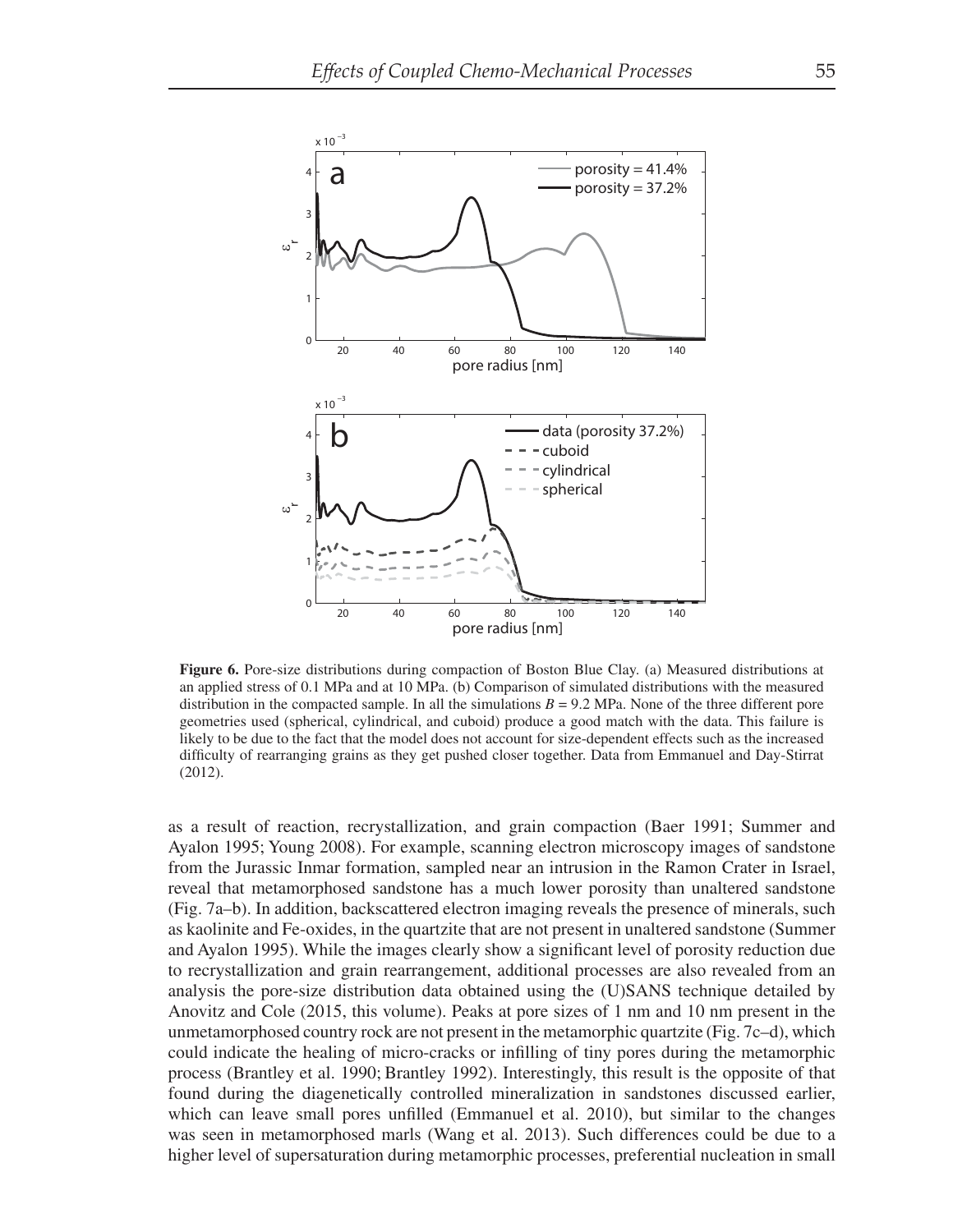

**Figure 6.** Pore-size distributions during compaction of Boston Blue Clay. (a) Measured distributions at an applied stress of 0.1 MPa and at 10 MPa. (b) Comparison of simulated distributions with the measured distribution in the compacted sample. In all the simulations  $B = 9.2$  MPa. None of the three different pore geometries used (spherical, cylindrical, and cuboid) produce a good match with the data. This failure is likely to be due to the fact that the model does not account for size-dependent effects such as the increased difficulty of rearranging grains as they get pushed closer together. Data from Emmanuel and Day-Stirrat (2012).

as a result of reaction, recrystallization, and grain compaction (Baer 1991; Summer and Ayalon 1995; Young 2008). For example, scanning electron microscopy images of sandstone from the Jurassic Inmar formation, sampled near an intrusion in the Ramon Crater in Israel, reveal that metamorphosed sandstone has a much lower porosity than unaltered sandstone (Fig. 7a–b). In addition, backscattered electron imaging reveals the presence of minerals, such as kaolinite and Fe-oxides, in the quartzite that are not present in unaltered sandstone (Summer and Ayalon 1995). While the images clearly show a significant level of porosity reduction due to recrystallization and grain rearrangement, additional processes are also revealed from an analysis the pore-size distribution data obtained using the (U)SANS technique detailed by Anovitz and Cole (2015, this volume). Peaks at pore sizes of 1 nm and 10 nm present in the unmetamorphosed country rock are not present in the metamorphic quartzite (Fig. 7c–d), which could indicate the healing of micro-cracks or infilling of tiny pores during the metamorphic process (Brantley et al. 1990; Brantley 1992). Interestingly, this result is the opposite of that found during the diagenetically controlled mineralization in sandstones discussed earlier, which can leave small pores unfilled (Emmanuel et al. 2010), but similar to the changes was seen in metamorphosed marls (Wang et al. 2013). Such differences could be due to a higher level of supersaturation during metamorphic processes, preferential nucleation in small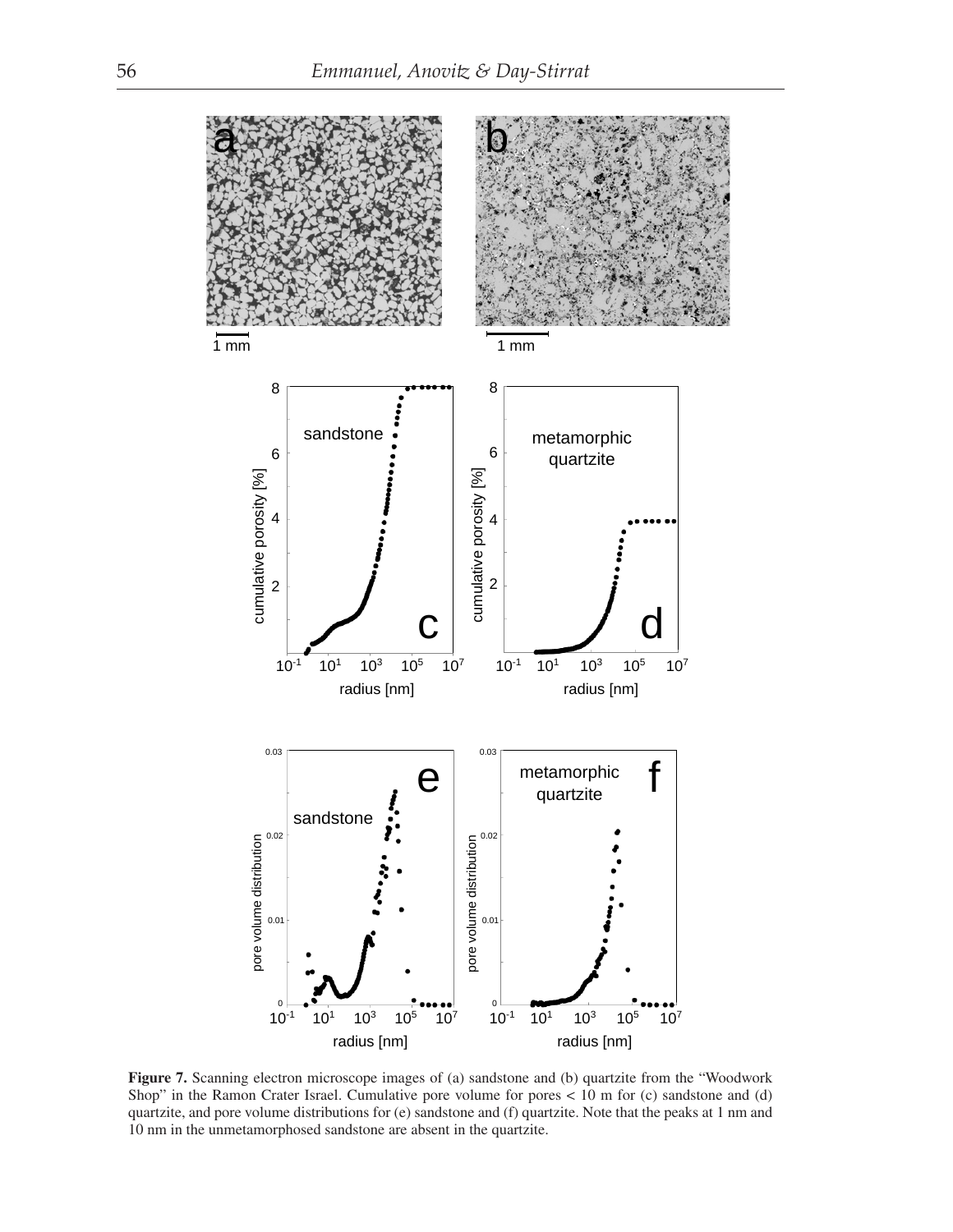

**Figure 7.** Scanning electron microscope images of (a) sandstone and (b) quartzite from the "Woodwork Shop" in the Ramon Crater Israel. Cumulative pore volume for pores < 10 m for (c) sandstone and (d) quartzite, and pore volume distributions for (e) sandstone and (f) quartzite. Note that the peaks at 1 nm and 10 nm in the unmetamorphosed sandstone are absent in the quartzite.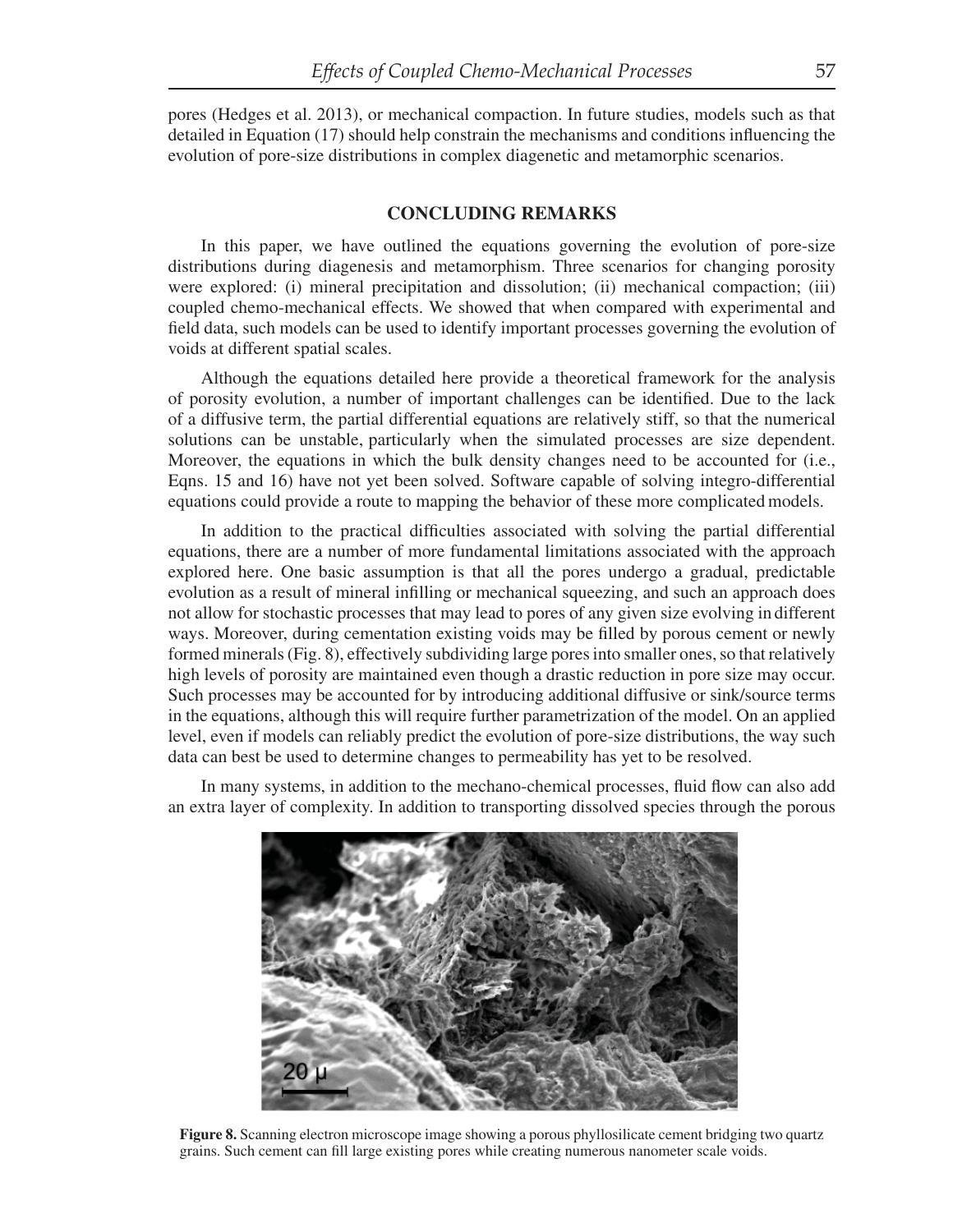pores (Hedges et al. 2013), or mechanical compaction. In future studies, models such as that detailed in Equation (17) should help constrain the mechanisms and conditions influencing the evolution of pore-size distributions in complex diagenetic and metamorphic scenarios.

#### **CONCLUDING REMARKS**

In this paper, we have outlined the equations governing the evolution of pore-size distributions during diagenesis and metamorphism. Three scenarios for changing porosity were explored: (i) mineral precipitation and dissolution; (ii) mechanical compaction; (iii) coupled chemo-mechanical effects. We showed that when compared with experimental and field data, such models can be used to identify important processes governing the evolution of voids at different spatial scales.

Although the equations detailed here provide a theoretical framework for the analysis of porosity evolution, a number of important challenges can be identified. Due to the lack of a diffusive term, the partial differential equations are relatively stiff, so that the numerical solutions can be unstable, particularly when the simulated processes are size dependent. Moreover, the equations in which the bulk density changes need to be accounted for (i.e., Eqns. 15 and 16) have not yet been solved. Software capable of solving integro-differential equations could provide a route to mapping the behavior of these more complicated models.

In addition to the practical difficulties associated with solving the partial differential equations, there are a number of more fundamental limitations associated with the approach explored here. One basic assumption is that all the pores undergo a gradual, predictable evolution as a result of mineral infilling or mechanical squeezing, and such an approach does not allow for stochastic processes that may lead to pores of any given size evolving in different ways. Moreover, during cementation existing voids may be filled by porous cement or newly formed minerals (Fig. 8), effectively subdividing large pores into smaller ones, so that relatively high levels of porosity are maintained even though a drastic reduction in pore size may occur. Such processes may be accounted for by introducing additional diffusive or sink/source terms in the equations, although this will require further parametrization of the model. On an applied level, even if models can reliably predict the evolution of pore-size distributions, the way such data can best be used to determine changes to permeability has yet to be resolved.

In many systems, in addition to the mechano-chemical processes, fluid flow can also add an extra layer of complexity. In addition to transporting dissolved species through the porous



**Figure 8.** Scanning electron microscope image showing a porous phyllosilicate cement bridging two quartz grains. Such cement can fill large existing pores while creating numerous nanometer scale voids.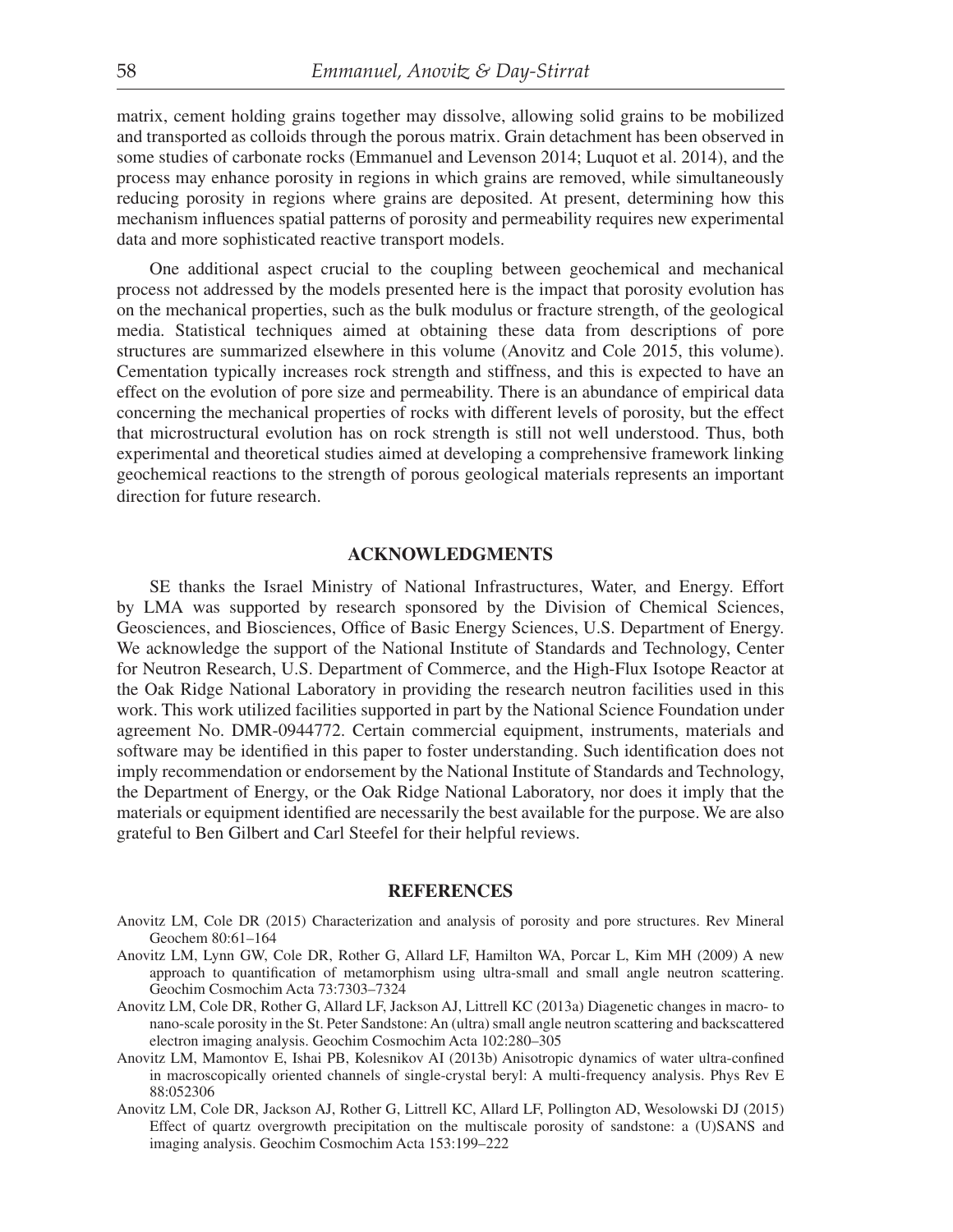matrix, cement holding grains together may dissolve, allowing solid grains to be mobilized and transported as colloids through the porous matrix. Grain detachment has been observed in some studies of carbonate rocks (Emmanuel and Levenson 2014; Luquot et al. 2014), and the process may enhance porosity in regions in which grains are removed, while simultaneously reducing porosity in regions where grains are deposited. At present, determining how this mechanism influences spatial patterns of porosity and permeability requires new experimental data and more sophisticated reactive transport models.

One additional aspect crucial to the coupling between geochemical and mechanical process not addressed by the models presented here is the impact that porosity evolution has on the mechanical properties, such as the bulk modulus or fracture strength, of the geological media. Statistical techniques aimed at obtaining these data from descriptions of pore structures are summarized elsewhere in this volume (Anovitz and Cole 2015, this volume). Cementation typically increases rock strength and stiffness, and this is expected to have an effect on the evolution of pore size and permeability. There is an abundance of empirical data concerning the mechanical properties of rocks with different levels of porosity, but the effect that microstructural evolution has on rock strength is still not well understood. Thus, both experimental and theoretical studies aimed at developing a comprehensive framework linking geochemical reactions to the strength of porous geological materials represents an important direction for future research.

### **ACKNOWLEDGMENTS**

SE thanks the Israel Ministry of National Infrastructures, Water, and Energy. Effort by LMA was supported by research sponsored by the Division of Chemical Sciences, Geosciences, and Biosciences, Office of Basic Energy Sciences, U.S. Department of Energy. We acknowledge the support of the National Institute of Standards and Technology, Center for Neutron Research, U.S. Department of Commerce, and the High-Flux Isotope Reactor at the Oak Ridge National Laboratory in providing the research neutron facilities used in this work. This work utilized facilities supported in part by the National Science Foundation under agreement No. DMR-0944772. Certain commercial equipment, instruments, materials and software may be identified in this paper to foster understanding. Such identification does not imply recommendation or endorsement by the National Institute of Standards and Technology, the Department of Energy, or the Oak Ridge National Laboratory, nor does it imply that the materials or equipment identified are necessarily the best available for the purpose. We are also grateful to Ben Gilbert and Carl Steefel for their helpful reviews.

#### **REFERENCES**

- Anovitz LM, Cole DR (2015) Characterization and analysis of porosity and pore structures. Rev Mineral Geochem 80:61–164
- Anovitz LM, Lynn GW, Cole DR, Rother G, Allard LF, Hamilton WA, Porcar L, Kim MH (2009) A new approach to quantification of metamorphism using ultra-small and small angle neutron scattering. Geochim Cosmochim Acta 73:7303–7324
- Anovitz LM, Cole DR, Rother G, Allard LF, Jackson AJ, Littrell KC (2013a) Diagenetic changes in macro- to nano-scale porosity in the St. Peter Sandstone: An (ultra) small angle neutron scattering and backscattered electron imaging analysis. Geochim Cosmochim Acta 102:280–305
- Anovitz LM, Mamontov E, Ishai PB, Kolesnikov AI (2013b) Anisotropic dynamics of water ultra-confined in macroscopically oriented channels of single-crystal beryl: A multi-frequency analysis. Phys Rev E 88:052306
- Anovitz LM, Cole DR, Jackson AJ, Rother G, Littrell KC, Allard LF, Pollington AD, Wesolowski DJ (2015) Effect of quartz overgrowth precipitation on the multiscale porosity of sandstone: a (U)SANS and imaging analysis. Geochim Cosmochim Acta 153:199–222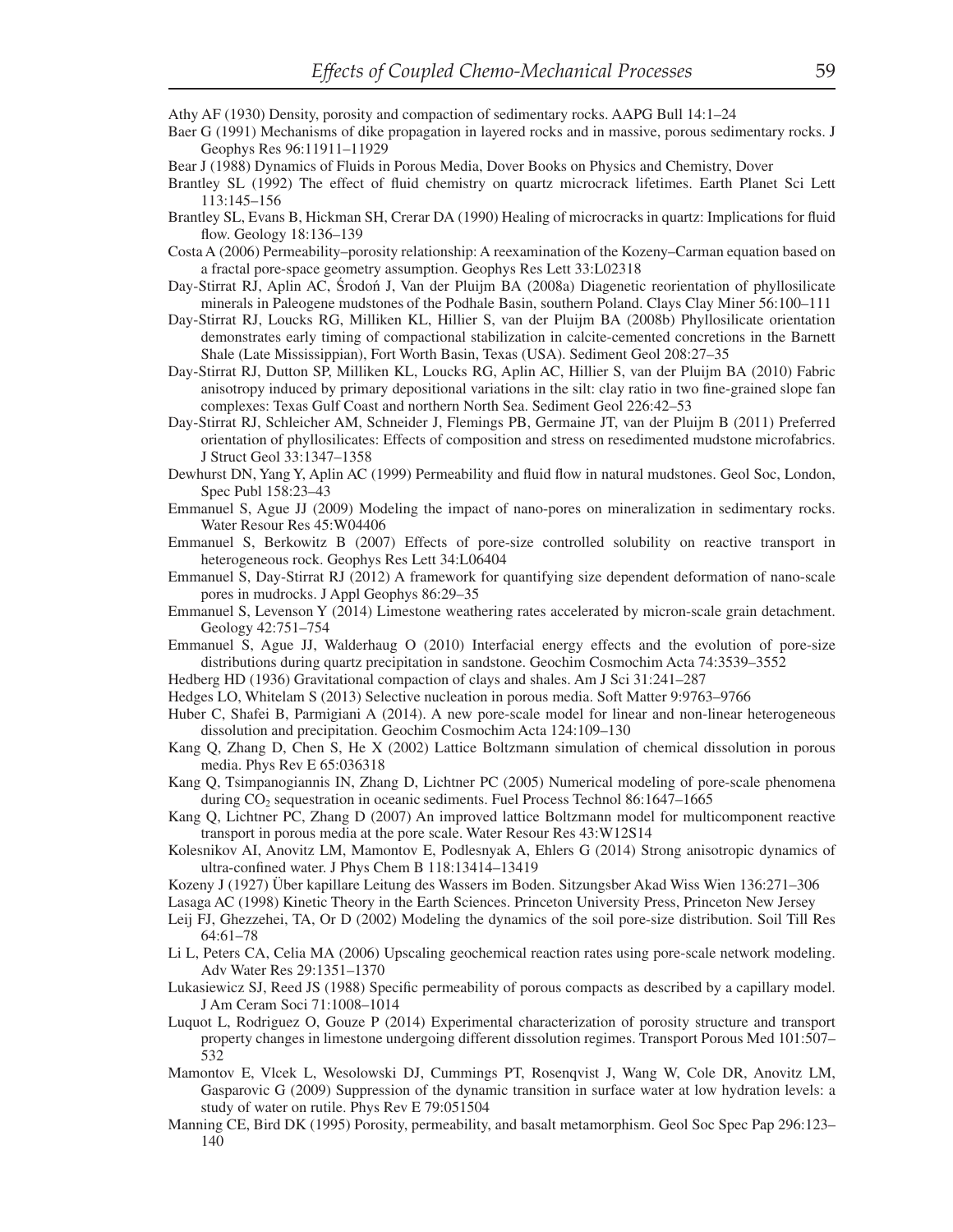Athy AF (1930) Density, porosity and compaction of sedimentary rocks. AAPG Bull 14:1–24

- Baer G (1991) Mechanisms of dike propagation in layered rocks and in massive, porous sedimentary rocks. J Geophys Res 96:11911–11929
- Bear J (1988) Dynamics of Fluids in Porous Media, Dover Books on Physics and Chemistry, Dover
- Brantley SL (1992) The effect of fluid chemistry on quartz microcrack lifetimes. Earth Planet Sci Lett 113:145–156
- Brantley SL, Evans B, Hickman SH, Crerar DA (1990) Healing of microcracks in quartz: Implications for fluid flow. Geology 18:136-139
- Costa A (2006) Permeability–porosity relationship: A reexamination of the Kozeny–Carman equation based on a fractal pore-space geometry assumption. Geophys Res Lett 33:L02318
- Day-Stirrat RJ, Aplin AC, Środoń J, Van der Pluijm BA (2008a) Diagenetic reorientation of phyllosilicate minerals in Paleogene mudstones of the Podhale Basin, southern Poland. Clays Clay Miner 56:100–111
- Day-Stirrat RJ, Loucks RG, Milliken KL, Hillier S, van der Pluijm BA (2008b) Phyllosilicate orientation demonstrates early timing of compactional stabilization in calcite-cemented concretions in the Barnett Shale (Late Mississippian), Fort Worth Basin, Texas (USA). Sediment Geol 208:27–35
- Day-Stirrat RJ, Dutton SP, Milliken KL, Loucks RG, Aplin AC, Hillier S, van der Pluijm BA (2010) Fabric anisotropy induced by primary depositional variations in the silt: clay ratio in two fine-grained slope fan complexes: Texas Gulf Coast and northern North Sea. Sediment Geol 226:42–53
- Day-Stirrat RJ, Schleicher AM, Schneider J, Flemings PB, Germaine JT, van der Pluijm B (2011) Preferred orientation of phyllosilicates: Effects of composition and stress on resedimented mudstone microfabrics. J Struct Geol 33:1347–1358
- Dewhurst DN, Yang Y, Aplin AC (1999) Permeability and fluid flow in natural mudstones. Geol Soc, London, Spec Publ 158:23–43
- Emmanuel S, Ague JJ (2009) Modeling the impact of nano-pores on mineralization in sedimentary rocks. Water Resour Res 45:W04406
- Emmanuel S, Berkowitz B (2007) Effects of pore-size controlled solubility on reactive transport in heterogeneous rock. Geophys Res Lett 34:L06404
- Emmanuel S, Day-Stirrat RJ (2012) A framework for quantifying size dependent deformation of nano-scale pores in mudrocks. J Appl Geophys 86:29–35
- Emmanuel S, Levenson Y (2014) Limestone weathering rates accelerated by micron-scale grain detachment. Geology 42:751–754
- Emmanuel S, Ague JJ, Walderhaug O (2010) Interfacial energy effects and the evolution of pore-size distributions during quartz precipitation in sandstone. Geochim Cosmochim Acta 74:3539–3552
- Hedberg HD (1936) Gravitational compaction of clays and shales. Am J Sci 31:241–287
- Hedges LO, Whitelam S (2013) Selective nucleation in porous media. Soft Matter 9:9763–9766
- Huber C, Shafei B, Parmigiani A (2014). A new pore-scale model for linear and non-linear heterogeneous dissolution and precipitation. Geochim Cosmochim Acta 124:109–130
- Kang Q, Zhang D, Chen S, He X (2002) Lattice Boltzmann simulation of chemical dissolution in porous media. Phys Rev E 65:036318
- Kang Q, Tsimpanogiannis IN, Zhang D, Lichtner PC (2005) Numerical modeling of pore-scale phenomena during  $CO<sub>2</sub>$  sequestration in oceanic sediments. Fuel Process Technol 86:1647–1665
- Kang Q, Lichtner PC, Zhang D (2007) An improved lattice Boltzmann model for multicomponent reactive transport in porous media at the pore scale. Water Resour Res 43:W12S14
- Kolesnikov AI, Anovitz LM, Mamontov E, Podlesnyak A, Ehlers G (2014) Strong anisotropic dynamics of ultra-confined water. J Phys Chem B 118:13414-13419
- Kozeny J (1927) Über kapillare Leitung des Wassers im Boden. Sitzungsber Akad Wiss Wien 136:271–306
- Lasaga AC (1998) Kinetic Theory in the Earth Sciences. Princeton University Press, Princeton New Jersey
- Leij FJ, Ghezzehei, TA, Or D (2002) Modeling the dynamics of the soil pore-size distribution. Soil Till Res 64:61–78
- Li L, Peters CA, Celia MA (2006) Upscaling geochemical reaction rates using pore-scale network modeling. Adv Water Res 29:1351–1370
- Lukasiewicz SJ, Reed JS (1988) Specific permeability of porous compacts as described by a capillary model. J Am Ceram Soci 71:1008–1014
- Luquot L, Rodriguez O, Gouze P (2014) Experimental characterization of porosity structure and transport property changes in limestone undergoing different dissolution regimes. Transport Porous Med 101:507– 532
- Mamontov E, Vlcek L, Wesolowski DJ, Cummings PT, Rosenqvist J, Wang W, Cole DR, Anovitz LM, Gasparovic G (2009) Suppression of the dynamic transition in surface water at low hydration levels: a study of water on rutile. Phys Rev E 79:051504
- Manning CE, Bird DK (1995) Porosity, permeability, and basalt metamorphism. Geol Soc Spec Pap 296:123– 140